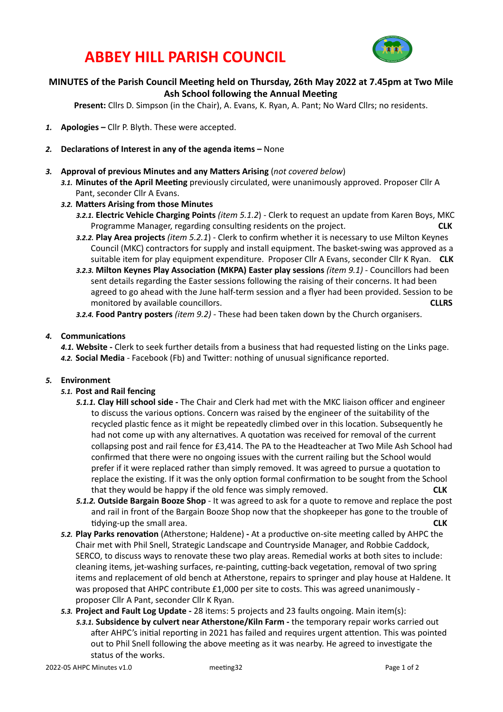## **ABBEY HILL PARISH COUNCIL**



### **MINUTES of the Parish Council Meeting held on Thursday, 26th May 2022 at 7.45pm at Two Mile Ash School following the Annual Meeting**

Present: Cllrs D. Simpson (in the Chair), A. Evans, K. Ryan, A. Pant; No Ward Cllrs; no residents.

- 1. **Apologies** Cllr P. Blyth. These were accepted.
- 2. **Declarations of Interest in any of the agenda items –** None
- 3. **Approval of previous Minutes and any Matters Arising** (not covered below)
	- 3.1. Minutes of the April Meeting previously circulated, were unanimously approved. Proposer Cllr A Pant, seconder Cllr A Evans.
	- 3.2. Matters Arising from those Minutes
		- **3.2.1.** Electric Vehicle Charging Points (item 5.1.2) Clerk to request an update from Karen Boys, MKC Programme Manager, regarding consulting residents on the project. *CLK*
		- **3.2.2. Play Area projects** *(item 5.2.1*) Clerk to confirm whether it is necessary to use Milton Keynes Council (MKC) contractors for supply and install equipment. The basket-swing was approved as a suitable item for play equipment expenditure. Proposer Cllr A Evans, seconder Cllr K Ryan. CLK
		- **3.2.3.** Milton Keynes Play Association (MKPA) Easter play sessions *(item 9.1)* Councillors had been sent details regarding the Easter sessions following the raising of their concerns. It had been agreed to go ahead with the June half-term session and a flyer had been provided. Session to be monitored by available councillors. **A** and the state of the state of the state of the state of the state of the state of the state of the state of the state of the state of the state of the state of the state of the state
		- **3.2.4. Food Pantry posters** *(item 9.2)* These had been taken down by the Church organisers.

#### 4. **Communications**

**4.1. Website** - Clerk to seek further details from a business that had requested listing on the Links page. 4.2. **Social Media** - Facebook (Fb) and Twitter: nothing of unusual significance reported.

#### 5. **Environment**

- 5.1. Post and Rail fencing
	- **5.1.1. Clay Hill school side** The Chair and Clerk had met with the MKC liaison officer and engineer to discuss the various options. Concern was raised by the engineer of the suitability of the recycled plastic fence as it might be repeatedly climbed over in this location. Subsequently he had not come up with any alternatives. A quotation was received for removal of the current collapsing post and rail fence for £3,414. The PA to the Headteacher at Two Mile Ash School had confirmed that there were no ongoing issues with the current railing but the School would prefer if it were replaced rather than simply removed. It was agreed to pursue a quotation to replace the existing. If it was the only option formal confirmation to be sought from the School that they would be happy if the old fence was simply removed. **CLK**
	- 5.1.2. Outside Bargain Booze Shop It was agreed to ask for a quote to remove and replace the post and rail in front of the Bargain Booze Shop now that the shopkeeper has gone to the trouble of **Keta Transformall** area. **CLK CLK CLK**
- **5.2. Play Parks renovation** (Atherstone; Haldene) At a productive on-site meeting called by AHPC the Chair met with Phil Snell, Strategic Landscape and Countryside Manager, and Robbie Caddock, SERCO, to discuss ways to renovate these two play areas. Remedial works at both sites to include: cleaning items, jet-washing surfaces, re-painting, cutting-back vegetation, removal of two spring items and replacement of old bench at Atherstone, repairs to springer and play house at Haldene. It was proposed that AHPC contribute £1,000 per site to costs. This was agreed unanimously proposer Cllr A Pant, seconder Cllr K Ryan.
- 5.3. Project and Fault Log Update 28 items: 5 projects and 23 faults ongoing. Main item(s): 5.3.1. Subsidence by culvert near Atherstone/Kiln Farm - the temporary repair works carried out after AHPC's initial reporting in 2021 has failed and requires urgent attention. This was pointed out to Phil Snell following the above meeting as it was nearby. He agreed to investigate the status of the works.